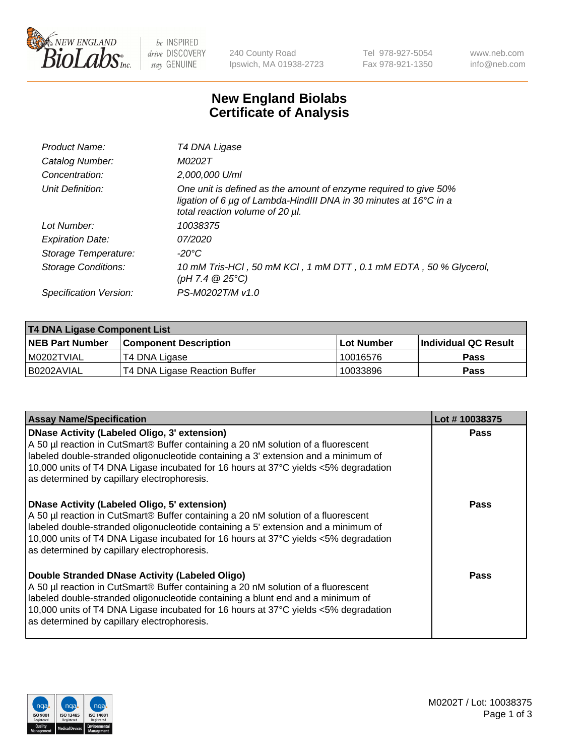

be INSPIRED drive DISCOVERY stay GENUINE

240 County Road Ipswich, MA 01938-2723 Tel 978-927-5054 Fax 978-921-1350 www.neb.com info@neb.com

## **New England Biolabs Certificate of Analysis**

| T4 DNA Ligase                                                                                                                                                                           |
|-----------------------------------------------------------------------------------------------------------------------------------------------------------------------------------------|
| M0202T                                                                                                                                                                                  |
| 2,000,000 U/ml                                                                                                                                                                          |
| One unit is defined as the amount of enzyme required to give 50%<br>ligation of 6 $\mu$ g of Lambda-HindIII DNA in 30 minutes at 16 $\degree$ C in a<br>total reaction volume of 20 µl. |
| 10038375                                                                                                                                                                                |
| 07/2020                                                                                                                                                                                 |
| $-20^{\circ}$ C                                                                                                                                                                         |
| 10 mM Tris-HCl, 50 mM KCl, 1 mM DTT, 0.1 mM EDTA, 50 % Glycerol,<br>(pH 7.4 $@25°C$ )                                                                                                   |
| PS-M0202T/M v1.0                                                                                                                                                                        |
|                                                                                                                                                                                         |

| T4 DNA Ligase Component List |                               |              |                             |  |  |
|------------------------------|-------------------------------|--------------|-----------------------------|--|--|
| <b>NEB Part Number</b>       | <b>Component Description</b>  | l Lot Number | <b>Individual QC Result</b> |  |  |
| I M0202TVIAL                 | T4 DNA Ligase                 | 10016576     | <b>Pass</b>                 |  |  |
| I B0202AVIAL                 | T4 DNA Ligase Reaction Buffer | 10033896     | <b>Pass</b>                 |  |  |

| <b>Assay Name/Specification</b>                                                                                                                                                                                                                                                                                                                               | Lot #10038375 |
|---------------------------------------------------------------------------------------------------------------------------------------------------------------------------------------------------------------------------------------------------------------------------------------------------------------------------------------------------------------|---------------|
| DNase Activity (Labeled Oligo, 3' extension)<br>A 50 µl reaction in CutSmart® Buffer containing a 20 nM solution of a fluorescent<br>labeled double-stranded oligonucleotide containing a 3' extension and a minimum of<br>10,000 units of T4 DNA Ligase incubated for 16 hours at 37°C yields <5% degradation<br>as determined by capillary electrophoresis. | <b>Pass</b>   |
| DNase Activity (Labeled Oligo, 5' extension)<br>A 50 µl reaction in CutSmart® Buffer containing a 20 nM solution of a fluorescent<br>labeled double-stranded oligonucleotide containing a 5' extension and a minimum of<br>10,000 units of T4 DNA Ligase incubated for 16 hours at 37°C yields <5% degradation<br>as determined by capillary electrophoresis. | <b>Pass</b>   |
| Double Stranded DNase Activity (Labeled Oligo)<br>A 50 µl reaction in CutSmart® Buffer containing a 20 nM solution of a fluorescent<br>abeled double-stranded oligonucleotide containing a blunt end and a minimum of<br>10,000 units of T4 DNA Ligase incubated for 16 hours at 37°C yields <5% degradation<br>as determined by capillary electrophoresis.   | Pass          |

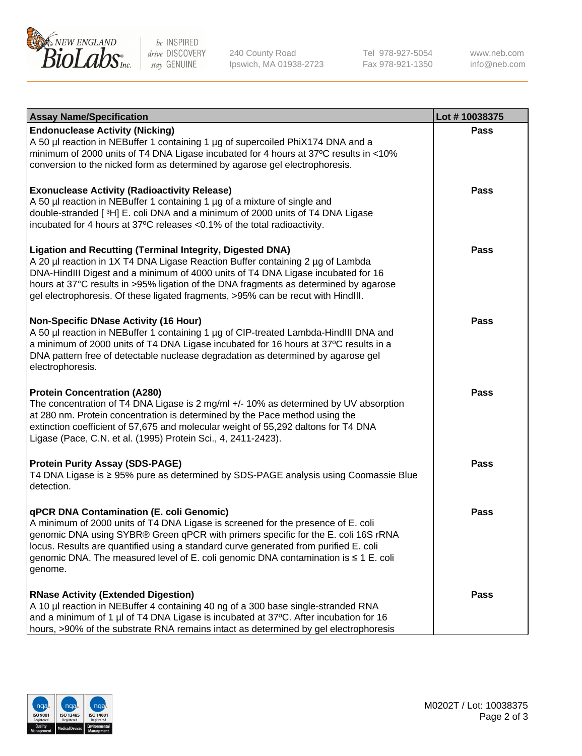

be INSPIRED drive DISCOVERY stay GENUINE

240 County Road Ipswich, MA 01938-2723 Tel 978-927-5054 Fax 978-921-1350

www.neb.com info@neb.com

| <b>Assay Name/Specification</b>                                                                                                                                                                                                                                                                                                                                                                                    | Lot #10038375 |
|--------------------------------------------------------------------------------------------------------------------------------------------------------------------------------------------------------------------------------------------------------------------------------------------------------------------------------------------------------------------------------------------------------------------|---------------|
| <b>Endonuclease Activity (Nicking)</b><br>A 50 µl reaction in NEBuffer 1 containing 1 µg of supercoiled PhiX174 DNA and a<br>minimum of 2000 units of T4 DNA Ligase incubated for 4 hours at 37°C results in <10%<br>conversion to the nicked form as determined by agarose gel electrophoresis.                                                                                                                   | <b>Pass</b>   |
| <b>Exonuclease Activity (Radioactivity Release)</b><br>A 50 µl reaction in NEBuffer 1 containing 1 µg of a mixture of single and<br>double-stranded [3H] E. coli DNA and a minimum of 2000 units of T4 DNA Ligase<br>incubated for 4 hours at 37°C releases <0.1% of the total radioactivity.                                                                                                                      | Pass          |
| <b>Ligation and Recutting (Terminal Integrity, Digested DNA)</b><br>A 20 µl reaction in 1X T4 DNA Ligase Reaction Buffer containing 2 µg of Lambda<br>DNA-HindIII Digest and a minimum of 4000 units of T4 DNA Ligase incubated for 16<br>hours at 37°C results in >95% ligation of the DNA fragments as determined by agarose<br>gel electrophoresis. Of these ligated fragments, >95% can be recut with HindIII. | Pass          |
| <b>Non-Specific DNase Activity (16 Hour)</b><br>A 50 µl reaction in NEBuffer 1 containing 1 µg of CIP-treated Lambda-HindIII DNA and<br>a minimum of 2000 units of T4 DNA Ligase incubated for 16 hours at 37°C results in a<br>DNA pattern free of detectable nuclease degradation as determined by agarose gel<br>electrophoresis.                                                                               | Pass          |
| <b>Protein Concentration (A280)</b><br>The concentration of T4 DNA Ligase is 2 mg/ml +/- 10% as determined by UV absorption<br>at 280 nm. Protein concentration is determined by the Pace method using the<br>extinction coefficient of 57,675 and molecular weight of 55,292 daltons for T4 DNA<br>Ligase (Pace, C.N. et al. (1995) Protein Sci., 4, 2411-2423).                                                  | Pass          |
| <b>Protein Purity Assay (SDS-PAGE)</b><br>T4 DNA Ligase is ≥ 95% pure as determined by SDS-PAGE analysis using Coomassie Blue<br>detection.                                                                                                                                                                                                                                                                        | <b>Pass</b>   |
| qPCR DNA Contamination (E. coli Genomic)<br>A minimum of 2000 units of T4 DNA Ligase is screened for the presence of E. coli<br>genomic DNA using SYBR® Green qPCR with primers specific for the E. coli 16S rRNA<br>locus. Results are quantified using a standard curve generated from purified E. coli<br>genomic DNA. The measured level of E. coli genomic DNA contamination is ≤ 1 E. coli<br>genome.        | Pass          |
| <b>RNase Activity (Extended Digestion)</b><br>A 10 µl reaction in NEBuffer 4 containing 40 ng of a 300 base single-stranded RNA<br>and a minimum of 1 µl of T4 DNA Ligase is incubated at 37°C. After incubation for 16<br>hours, >90% of the substrate RNA remains intact as determined by gel electrophoresis                                                                                                    | Pass          |